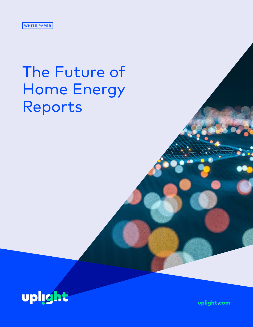# The Future of Home Energy Reports



uplight.com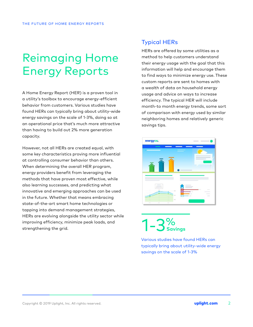# Reimaging Home Energy Reports

A Home Energy Report (HER) is a proven tool in a utility's toolbox to encourage energy-efficient behavior from customers. Various studies have found HERs can typically bring about utility-wide energy savings on the scale of 1-3%, doing so at an operational price that's much more attractive than having to build out 2% more generation capacity.

However, not all HERs are created equal, with some key characteristics proving more influential at controlling consumer behavior than others. When determining the overall HER program, energy providers benefit from leveraging the methods that have proven most effective, while also learning successes, and predicting what innovative and emerging approaches can be used in the future. Whether that means embracing state-of-the-art smart home technologies or tapping into demand management strategies, HERs are evolving alongside the utility sector while improving efficiency, minimize peak loads, and strengthening the grid.

### Typical HERs

HERs are offered by some utilities as a method to help customers understand their energy usage with the goal that this information will help and encourage them to find ways to minimize energy use. These custom reports are sent to homes with a wealth of data on household energy usage and advice on ways to increase efficiency. The typical HER will include month-to month energy trends, some sort of comparison with energy used by similar neighboring homes and relatively generic savings tips.



1-3% **Savings**

Various studies have found HERs can typically bring about utility-wide energy savings on the scale of 1-3%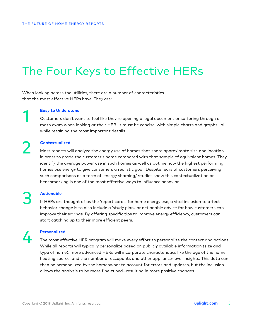# The Four Keys to Effective HERs

When looking across the utilities, there are a number of characteristics that the most effective HERs have. They are:

1

2

#### **Easy to Understand**

Customers don't want to feel like they're opening a legal document or suffering through a math exam when looking at their HER. It must be concise, with simple charts and graphs—all while retaining the most important details.

#### **Contextualized**

Most reports will analyze the energy use of homes that share approximate size and location in order to grade the customer's home compared with that sample of equivalent homes. They identify the average power use in such homes as well as outline how the highest performing homes use energy to give consumers a realistic goal. Despite fears of customers perceiving such comparisons as a form of 'energy shaming,' studies show this contextualization or benchmarking is one of the most effective ways to influence behavior.

# 3

### **Actionable**

If HERs are thought of as the 'report cards' for home energy use, a vital inclusion to affect behavior change is to also include a 'study plan,' or actionable advice for how customers can improve their savings. By offering specific tips to improve energy efficiency, customers can start catching up to their more efficient peers.

# 4

### **Personalized**

The most effective HER program will make every effort to personalize the context and actions. While all reports will typically personalize based on publicly available information (size and type of home), more advanced HERs will incorporate characteristics like the age of the home, heating source, and the number of occupants and other appliance-level insights. This data can then be personalized by the homeowner to account for errors and updates, but the inclusion allows the analysis to be more fine-tuned—resulting in more positive changes.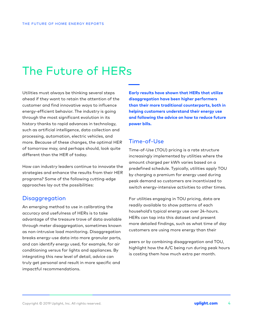# The Future of HERs

Utilities must always be thinking several steps ahead if they want to retain the attention of the customer and find innovative ways to influence energy-efficient behavior. The industry is going through the most significant evolution in its history thanks to rapid advances in technology, such as artificial intelligence, data collection and processing, automation, electric vehicles, and more. Because of these changes, the optimal HER of tomorrow may, and perhaps should, look quite different than the HER of today.

How can industry leaders continue to innovate the strategies and enhance the results from their HER programs? Some of the following cutting-edge approaches lay out the possibilities:

### **Disaggregation**

An emerging method to use in calibrating the accuracy and usefulness of HERs is to take advantage of the treasure trove of data available through meter disaggregation, sometimes known as non-intrusive load monitoring. Disaggregation breaks energy-use data into more granular parts, and can identify energy used, for example, for air conditioning versus for lights and appliances. By integrating this new level of detail, advice can truly get personal and result in more specific and impactful recommendations.

**Early results have shown that HERs that utilize disaggregation have been higher performers than their more traditional counterparts, both in helping customers understand their energy use and following the advice on how to reduce future power bills.**

### Time-of-Use

Time-of-Use (TOU) pricing is a rate structure increasingly implemented by utilities where the amount charged per kWh varies based on a predefined schedule. Typically, utilities apply TOU by charging a premium for energy used during peak demand so customers are incentivized to switch energy-intensive activities to other times.

For utilities engaging in TOU pricing, data are readily available to show patterns of each household's typical energy use over 24-hours. HERs can tap into this dataset and present more detailed findings, such as what time of day customers are using more energy than their

peers or by combining disaggregation and TOU, highlight how the A/C being run during peak hours is costing them how much extra per month.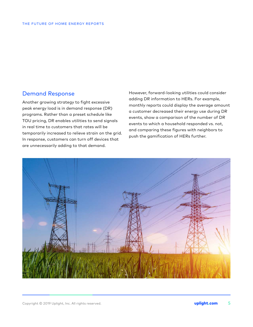### Demand Response

Another growing strategy to fight excessive peak energy load is in demand response (DR) programs. Rather than a preset schedule like TOU pricing, DR enables utilities to send signals in real time to customers that rates will be temporarily increased to relieve strain on the grid. In response, customers can turn off devices that are unnecessarily adding to that demand.

However, forward-looking utilities could consider adding DR information to HERs. For example, monthly reports could display the average amount a customer decreased their energy use during DR events, show a comparison of the number of DR events to which a household responded vs. not, and comparing these figures with neighbors to push the gamification of HERs further.

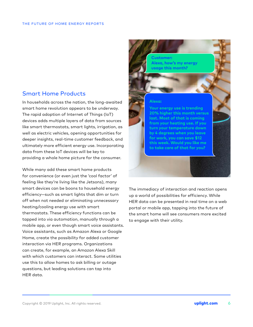### Smart Home Products

In households across the nation, the long-awaited smart home revolution appears to be underway. The rapid adoption of Internet of Things (IoT) devices adds multiple layers of data from sources like smart thermostats, smart lights, irrigation, as well as electric vehicles, opening opportunities for deeper insights, real-time customer feedback, and ultimately more efficient energy use. Incorporating data from these IoT devices will be key to providing a whole home picture for the consumer.

While many add these smart home products for convenience (or even just the 'cool factor' of feeling like they're living like the Jetsons), many smart devices can be boons to household energy efficiency—such as smart lights that dim or turn off when not needed or eliminating unnecessary heating/cooling energy use with smart thermostats. These efficiency functions can be tapped into via automation, manually through a mobile app, or even though smart voice assistants. Voice assistants, such as Amazon Alexa or Google Home, create the possibility for added customer interaction via HER programs. Organizations can create, for example, an Amazon Alexa Skill with which customers can interact. Some utilities use this to allow homes to ask billing or outage questions, but leading solutions can tap into HER data.

**Alexa, how's my energy usage this month? Customer: Alexa: Your energy use is trending 20% higher this month versus last. Most of that is coming from your heating use. If you turn your temperature down by 4 degrees when you leave for work, you can save \$12 this week. Would you like me** 

The immediacy of interaction and reaction opens up a world of possibilities for efficiency. While HER data can be presented in real time on a web portal or mobile app, tapping into the future of the smart home will see consumers more excited to engage with their utility.

**to take care of that for you?**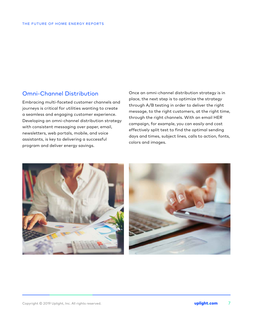### Omni-Channel Distribution

Embracing multi-faceted customer channels and journeys is critical for utilities wanting to create a seamless and engaging customer experience. Developing an omni-channel distribution strategy with consistent messaging over paper, email, newsletters, web portals, mobile, and voice assistants, is key to delivering a successful program and deliver energy savings.

Once an omni-channel distribution strategy is in place, the next step is to optimize the strategy through A/B testing in order to deliver the right message, to the right customers, at the right time, through the right channels. With an email HER campaign, for example, you can easily and cost effectively split test to find the optimal sending days and times, subject lines, calls to action, fonts, colors and images.



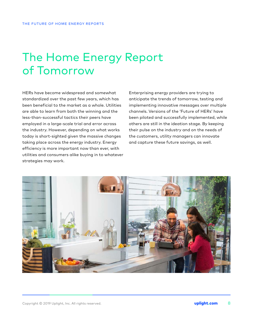## The Home Energy Report of Tomorrow

HERs have become widespread and somewhat standardized over the past few years, which has been beneficial to the market as a whole. Utilities are able to learn from both the winning and the less-than-successful tactics their peers have employed in a large-scale trial and error across the industry. However, depending on what works today is short-sighted given the massive changes taking place across the energy industry. Energy efficiency is more important now than ever, with utilities and consumers alike buying in to whatever strategies may work.

Enterprising energy providers are trying to anticipate the trends of tomorrow, testing and implementing innovative messages over multiple channels. Versions of the 'Future of HERs' have been piloted and successfully implemented, while others are still in the ideation stage. By keeping their pulse on the industry and on the needs of the customers, utility managers can innovate and capture these future savings, as well.